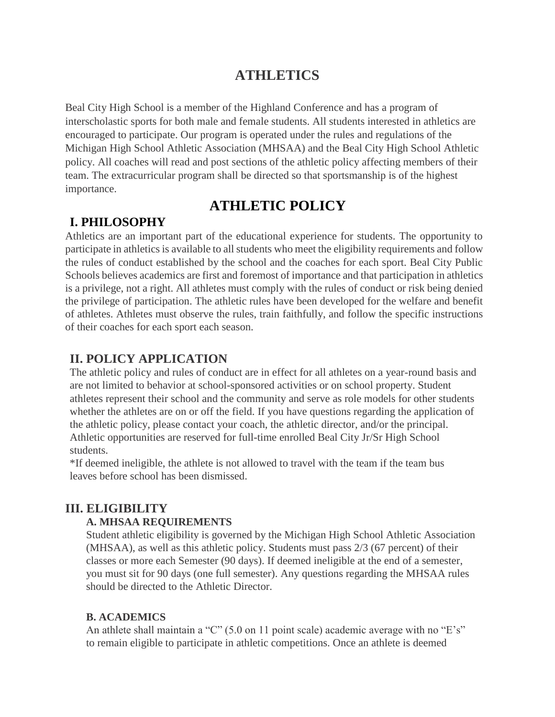# **ATHLETICS**

Beal City High School is a member of the Highland Conference and has a program of interscholastic sports for both male and female students. All students interested in athletics are encouraged to participate. Our program is operated under the rules and regulations of the Michigan High School Athletic Association (MHSAA) and the Beal City High School Athletic policy. All coaches will read and post sections of the athletic policy affecting members of their team. The extracurricular program shall be directed so that sportsmanship is of the highest importance.

# **ATHLETIC POLICY**

# **I. PHILOSOPHY**

Athletics are an important part of the educational experience for students. The opportunity to participate in athletics is available to all students who meet the eligibility requirements and follow the rules of conduct established by the school and the coaches for each sport. Beal City Public Schools believes academics are first and foremost of importance and that participation in athletics is a privilege, not a right. All athletes must comply with the rules of conduct or risk being denied the privilege of participation. The athletic rules have been developed for the welfare and benefit of athletes. Athletes must observe the rules, train faithfully, and follow the specific instructions of their coaches for each sport each season.

# **II. POLICY APPLICATION**

The athletic policy and rules of conduct are in effect for all athletes on a year-round basis and are not limited to behavior at school-sponsored activities or on school property. Student athletes represent their school and the community and serve as role models for other students whether the athletes are on or off the field. If you have questions regarding the application of the athletic policy, please contact your coach, the athletic director, and/or the principal. Athletic opportunities are reserved for full-time enrolled Beal City Jr/Sr High School students.

\*If deemed ineligible, the athlete is not allowed to travel with the team if the team bus leaves before school has been dismissed.

# **III. ELIGIBILITY**

#### **A. MHSAA REQUIREMENTS**

Student athletic eligibility is governed by the Michigan High School Athletic Association (MHSAA), as well as this athletic policy. Students must pass 2/3 (67 percent) of their classes or more each Semester (90 days). If deemed ineligible at the end of a semester, you must sit for 90 days (one full semester). Any questions regarding the MHSAA rules should be directed to the Athletic Director.

## **B. ACADEMICS**

An athlete shall maintain a "C" (5.0 on 11 point scale) academic average with no "E's" to remain eligible to participate in athletic competitions. Once an athlete is deemed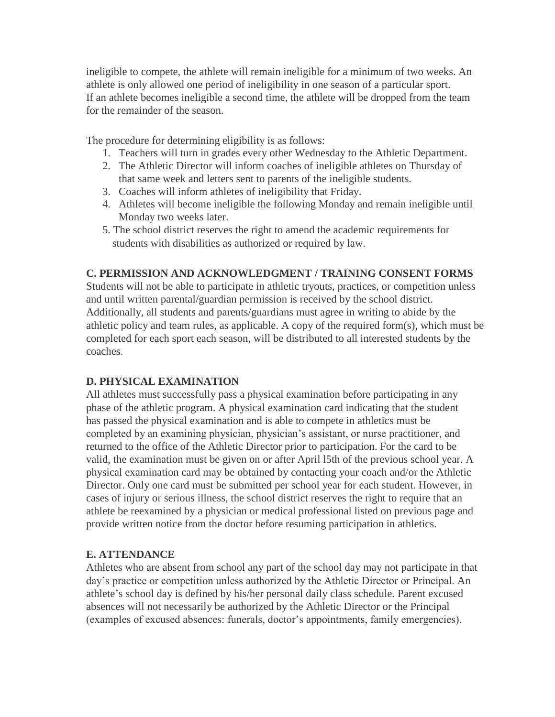ineligible to compete, the athlete will remain ineligible for a minimum of two weeks. An athlete is only allowed one period of ineligibility in one season of a particular sport. If an athlete becomes ineligible a second time, the athlete will be dropped from the team for the remainder of the season.

The procedure for determining eligibility is as follows:

- 1. Teachers will turn in grades every other Wednesday to the Athletic Department.
- 2. The Athletic Director will inform coaches of ineligible athletes on Thursday of that same week and letters sent to parents of the ineligible students.
- 3. Coaches will inform athletes of ineligibility that Friday.
- 4. Athletes will become ineligible the following Monday and remain ineligible until Monday two weeks later.
- 5. The school district reserves the right to amend the academic requirements for students with disabilities as authorized or required by law.

### **C. PERMISSION AND ACKNOWLEDGMENT / TRAINING CONSENT FORMS**

Students will not be able to participate in athletic tryouts, practices, or competition unless and until written parental/guardian permission is received by the school district. Additionally, all students and parents/guardians must agree in writing to abide by the athletic policy and team rules, as applicable. A copy of the required form(s), which must be completed for each sport each season, will be distributed to all interested students by the coaches.

## **D. PHYSICAL EXAMINATION**

All athletes must successfully pass a physical examination before participating in any phase of the athletic program. A physical examination card indicating that the student has passed the physical examination and is able to compete in athletics must be completed by an examining physician, physician's assistant, or nurse practitioner, and returned to the office of the Athletic Director prior to participation. For the card to be valid, the examination must be given on or after April l5th of the previous school year. A physical examination card may be obtained by contacting your coach and/or the Athletic Director. Only one card must be submitted per school year for each student. However, in cases of injury or serious illness, the school district reserves the right to require that an athlete be reexamined by a physician or medical professional listed on previous page and provide written notice from the doctor before resuming participation in athletics.

#### **E. ATTENDANCE**

Athletes who are absent from school any part of the school day may not participate in that day's practice or competition unless authorized by the Athletic Director or Principal. An athlete's school day is defined by his/her personal daily class schedule. Parent excused absences will not necessarily be authorized by the Athletic Director or the Principal (examples of excused absences: funerals, doctor's appointments, family emergencies).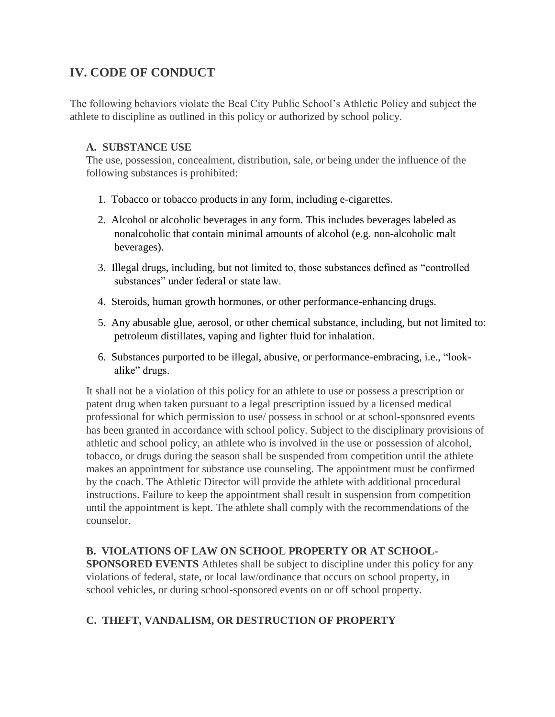# **IV. CODE OF CONDUCT**

The following behaviors violate the Beal City Public School's Athletic Policy and subject the athlete to discipline as outlined in this policy or authorized by school policy.

#### **A. SUBSTANCE USE**

The use, possession, concealment, distribution, sale, or being under the influence of the following substances is prohibited:

- 1. Tobacco or tobacco products in any form, including e-cigarettes.
- 2. Alcohol or alcoholic beverages in any form. This includes beverages labeled as nonalcoholic that contain minimal amounts of alcohol (e.g. non-alcoholic malt beverages).
- 3. Illegal drugs, including, but not limited to, those substances defined as "controlled substances" under federal or state law.
- 4. Steroids, human growth hormones, or other performance-enhancing drugs.
- 5. Any abusable glue, aerosol, or other chemical substance, including, but not limited to: petroleum distillates, vaping and lighter fluid for inhalation.
- 6. Substances purported to be illegal, abusive, or performance-embracing, i.e., "lookalike" drugs.

It shall not be a violation of this policy for an athlete to use or possess a prescription or patent drug when taken pursuant to a legal prescription issued by a licensed medical professional for which permission to use/ possess in school or at school-sponsored events has been granted in accordance with school policy. Subject to the disciplinary provisions of athletic and school policy, an athlete who is involved in the use or possession of alcohol, tobacco, or drugs during the season shall be suspended from competition until the athlete makes an appointment for substance use counseling. The appointment must be confirmed by the coach. The Athletic Director will provide the athlete with additional procedural instructions. Failure to keep the appointment shall result in suspension from competition until the appointment is kept. The athlete shall comply with the recommendations of the counselor.

## **B. VIOLATIONS OF LAW ON SCHOOL PROPERTY OR AT SCHOOL-**

**SPONSORED EVENTS** Athletes shall be subject to discipline under this policy for any violations of federal, state, or local law/ordinance that occurs on school property, in school vehicles, or during school-sponsored events on or off school property.

# **C. THEFT, VANDALISM, OR DESTRUCTION OF PROPERTY**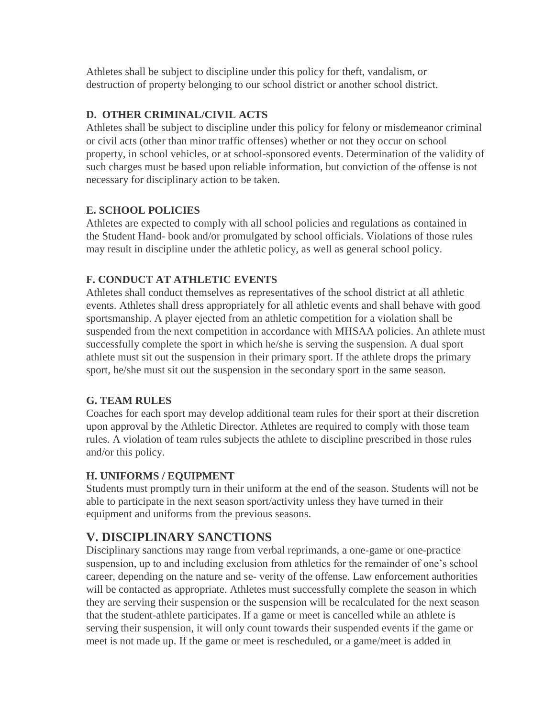Athletes shall be subject to discipline under this policy for theft, vandalism, or destruction of property belonging to our school district or another school district.

## **D. OTHER CRIMINAL/CIVIL ACTS**

Athletes shall be subject to discipline under this policy for felony or misdemeanor criminal or civil acts (other than minor traffic offenses) whether or not they occur on school property, in school vehicles, or at school-sponsored events. Determination of the validity of such charges must be based upon reliable information, but conviction of the offense is not necessary for disciplinary action to be taken.

### **E. SCHOOL POLICIES**

Athletes are expected to comply with all school policies and regulations as contained in the Student Hand- book and/or promulgated by school officials. Violations of those rules may result in discipline under the athletic policy, as well as general school policy.

## **F. CONDUCT AT ATHLETIC EVENTS**

Athletes shall conduct themselves as representatives of the school district at all athletic events. Athletes shall dress appropriately for all athletic events and shall behave with good sportsmanship. A player ejected from an athletic competition for a violation shall be suspended from the next competition in accordance with MHSAA policies. An athlete must successfully complete the sport in which he/she is serving the suspension. A dual sport athlete must sit out the suspension in their primary sport. If the athlete drops the primary sport, he/she must sit out the suspension in the secondary sport in the same season.

#### **G. TEAM RULES**

Coaches for each sport may develop additional team rules for their sport at their discretion upon approval by the Athletic Director. Athletes are required to comply with those team rules. A violation of team rules subjects the athlete to discipline prescribed in those rules and/or this policy.

## **H. UNIFORMS / EQUIPMENT**

Students must promptly turn in their uniform at the end of the season. Students will not be able to participate in the next season sport/activity unless they have turned in their equipment and uniforms from the previous seasons.

# **V. DISCIPLINARY SANCTIONS**

Disciplinary sanctions may range from verbal reprimands, a one-game or one-practice suspension, up to and including exclusion from athletics for the remainder of one's school career, depending on the nature and se- verity of the offense. Law enforcement authorities will be contacted as appropriate. Athletes must successfully complete the season in which they are serving their suspension or the suspension will be recalculated for the next season that the student-athlete participates. If a game or meet is cancelled while an athlete is serving their suspension, it will only count towards their suspended events if the game or meet is not made up. If the game or meet is rescheduled, or a game/meet is added in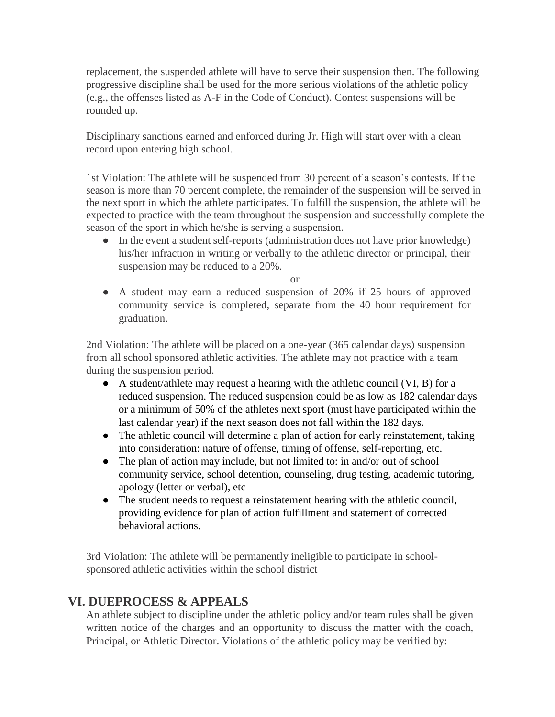replacement, the suspended athlete will have to serve their suspension then. The following progressive discipline shall be used for the more serious violations of the athletic policy (e.g., the offenses listed as A-F in the Code of Conduct). Contest suspensions will be rounded up.

Disciplinary sanctions earned and enforced during Jr. High will start over with a clean record upon entering high school.

1st Violation: The athlete will be suspended from 30 percent of a season's contests. If the season is more than 70 percent complete, the remainder of the suspension will be served in the next sport in which the athlete participates. To fulfill the suspension, the athlete will be expected to practice with the team throughout the suspension and successfully complete the season of the sport in which he/she is serving a suspension.

• In the event a student self-reports (administration does not have prior knowledge) his/her infraction in writing or verbally to the athletic director or principal, their suspension may be reduced to a 20%.

or

● A student may earn a reduced suspension of 20% if 25 hours of approved community service is completed, separate from the 40 hour requirement for graduation.

2nd Violation: The athlete will be placed on a one-year (365 calendar days) suspension from all school sponsored athletic activities. The athlete may not practice with a team during the suspension period.

- A student/athlete may request a hearing with the athletic council (VI, B) for a reduced suspension. The reduced suspension could be as low as 182 calendar days or a minimum of 50% of the athletes next sport (must have participated within the last calendar year) if the next season does not fall within the 182 days.
- The athletic council will determine a plan of action for early reinstatement, taking into consideration: nature of offense, timing of offense, self-reporting, etc.
- The plan of action may include, but not limited to: in and/or out of school community service, school detention, counseling, drug testing, academic tutoring, apology (letter or verbal), etc
- The student needs to request a reinstatement hearing with the athletic council, providing evidence for plan of action fulfillment and statement of corrected behavioral actions.

3rd Violation: The athlete will be permanently ineligible to participate in schoolsponsored athletic activities within the school district

# **VI. DUEPROCESS & APPEALS**

An athlete subject to discipline under the athletic policy and/or team rules shall be given written notice of the charges and an opportunity to discuss the matter with the coach, Principal, or Athletic Director. Violations of the athletic policy may be verified by: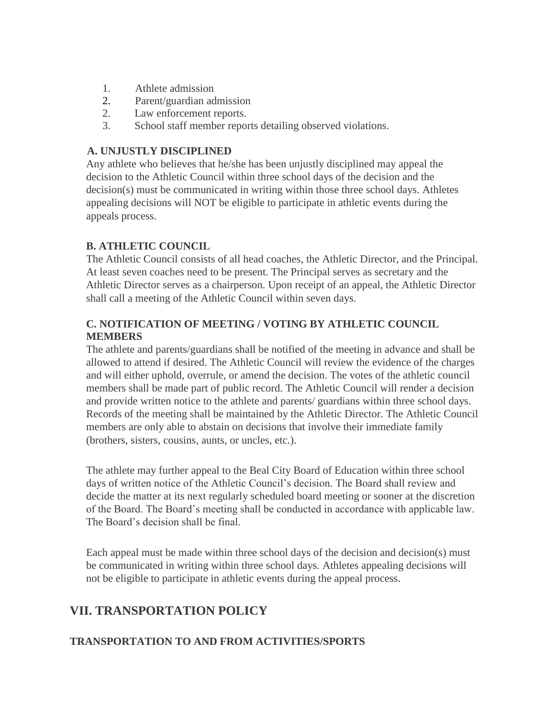- 1. Athlete admission
- 2. Parent/guardian admission
- 2. Law enforcement reports.
- 3. School staff member reports detailing observed violations.

### **A. UNJUSTLY DISCIPLINED**

Any athlete who believes that he/she has been unjustly disciplined may appeal the decision to the Athletic Council within three school days of the decision and the decision(s) must be communicated in writing within those three school days. Athletes appealing decisions will NOT be eligible to participate in athletic events during the appeals process.

## **B. ATHLETIC COUNCIL**

The Athletic Council consists of all head coaches, the Athletic Director, and the Principal. At least seven coaches need to be present. The Principal serves as secretary and the Athletic Director serves as a chairperson. Upon receipt of an appeal, the Athletic Director shall call a meeting of the Athletic Council within seven days.

# **C. NOTIFICATION OF MEETING / VOTING BY ATHLETIC COUNCIL MEMBERS**

The athlete and parents/guardians shall be notified of the meeting in advance and shall be allowed to attend if desired. The Athletic Council will review the evidence of the charges and will either uphold, overrule, or amend the decision. The votes of the athletic council members shall be made part of public record. The Athletic Council will render a decision and provide written notice to the athlete and parents/ guardians within three school days. Records of the meeting shall be maintained by the Athletic Director. The Athletic Council members are only able to abstain on decisions that involve their immediate family (brothers, sisters, cousins, aunts, or uncles, etc.).

The athlete may further appeal to the Beal City Board of Education within three school days of written notice of the Athletic Council's decision. The Board shall review and decide the matter at its next regularly scheduled board meeting or sooner at the discretion of the Board. The Board's meeting shall be conducted in accordance with applicable law. The Board's decision shall be final.

Each appeal must be made within three school days of the decision and decision(s) must be communicated in writing within three school days. Athletes appealing decisions will not be eligible to participate in athletic events during the appeal process.

# **VII. TRANSPORTATION POLICY**

## **TRANSPORTATION TO AND FROM ACTIVITIES/SPORTS**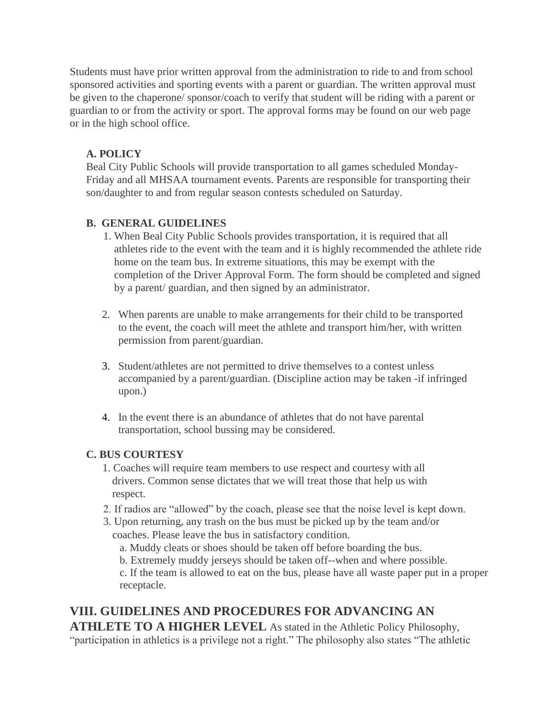Students must have prior written approval from the administration to ride to and from school sponsored activities and sporting events with a parent or guardian. The written approval must be given to the chaperone/ sponsor/coach to verify that student will be riding with a parent or guardian to or from the activity or sport. The approval forms may be found on our web page or in the high school office.

### **A. POLICY**

Beal City Public Schools will provide transportation to all games scheduled Monday-Friday and all MHSAA tournament events. Parents are responsible for transporting their son/daughter to and from regular season contests scheduled on Saturday.

### **B. GENERAL GUIDELINES**

- 1. When Beal City Public Schools provides transportation, it is required that all athletes ride to the event with the team and it is highly recommended the athlete ride home on the team bus. In extreme situations, this may be exempt with the completion of the Driver Approval Form. The form should be completed and signed by a parent/ guardian, and then signed by an administrator.
- 2. When parents are unable to make arrangements for their child to be transported to the event, the coach will meet the athlete and transport him/her, with written permission from parent/guardian.
- 3. Student/athletes are not permitted to drive themselves to a contest unless accompanied by a parent/guardian. (Discipline action may be taken -if infringed upon.)
- 4. In the event there is an abundance of athletes that do not have parental transportation, school bussing may be considered.

## **C. BUS COURTESY**

- 1. Coaches will require team members to use respect and courtesy with all drivers. Common sense dictates that we will treat those that help us with respect.
- 2. If radios are "allowed" by the coach, please see that the noise level is kept down.
- 3. Upon returning, any trash on the bus must be picked up by the team and/or coaches. Please leave the bus in satisfactory condition.
	- a. Muddy cleats or shoes should be taken off before boarding the bus.
	- b. Extremely muddy jerseys should be taken off--when and where possible.

c. If the team is allowed to eat on the bus, please have all waste paper put in a proper receptacle.

# **VIII. GUIDELINES AND PROCEDURES FOR ADVANCING AN ATHLETE TO A HIGHER LEVEL** As stated in the Athletic Policy Philosophy,

"participation in athletics is a privilege not a right." The philosophy also states "The athletic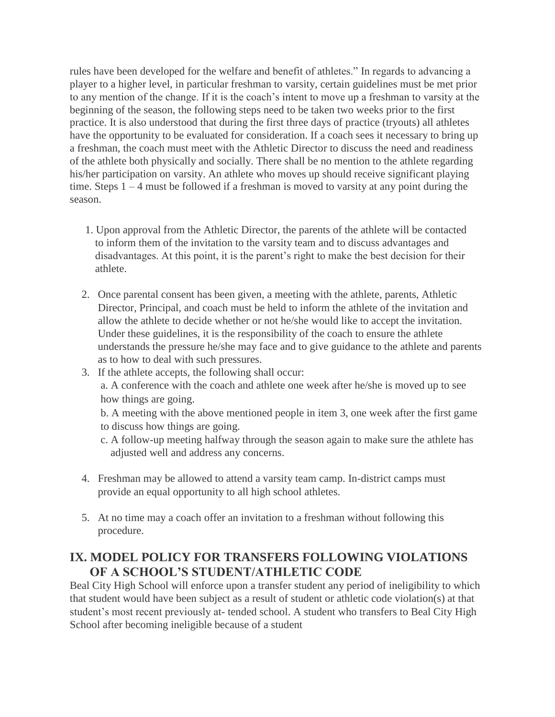rules have been developed for the welfare and benefit of athletes." In regards to advancing a player to a higher level, in particular freshman to varsity, certain guidelines must be met prior to any mention of the change. If it is the coach's intent to move up a freshman to varsity at the beginning of the season, the following steps need to be taken two weeks prior to the first practice. It is also understood that during the first three days of practice (tryouts) all athletes have the opportunity to be evaluated for consideration. If a coach sees it necessary to bring up a freshman, the coach must meet with the Athletic Director to discuss the need and readiness of the athlete both physically and socially. There shall be no mention to the athlete regarding his/her participation on varsity. An athlete who moves up should receive significant playing time. Steps 1 – 4 must be followed if a freshman is moved to varsity at any point during the season.

- 1. Upon approval from the Athletic Director, the parents of the athlete will be contacted to inform them of the invitation to the varsity team and to discuss advantages and disadvantages. At this point, it is the parent's right to make the best decision for their athlete.
- 2. Once parental consent has been given, a meeting with the athlete, parents, Athletic Director, Principal, and coach must be held to inform the athlete of the invitation and allow the athlete to decide whether or not he/she would like to accept the invitation. Under these guidelines, it is the responsibility of the coach to ensure the athlete understands the pressure he/she may face and to give guidance to the athlete and parents as to how to deal with such pressures.
- 3. If the athlete accepts, the following shall occur: a. A conference with the coach and athlete one week after he/she is moved up to see how things are going.
	- b. A meeting with the above mentioned people in item 3, one week after the first game to discuss how things are going.
	- c. A follow-up meeting halfway through the season again to make sure the athlete has adjusted well and address any concerns.
- 4. Freshman may be allowed to attend a varsity team camp. In-district camps must provide an equal opportunity to all high school athletes.
- 5. At no time may a coach offer an invitation to a freshman without following this procedure.

# **IX. MODEL POLICY FOR TRANSFERS FOLLOWING VIOLATIONS OF A SCHOOL'S STUDENT/ATHLETIC CODE**

Beal City High School will enforce upon a transfer student any period of ineligibility to which that student would have been subject as a result of student or athletic code violation(s) at that student's most recent previously at- tended school. A student who transfers to Beal City High School after becoming ineligible because of a student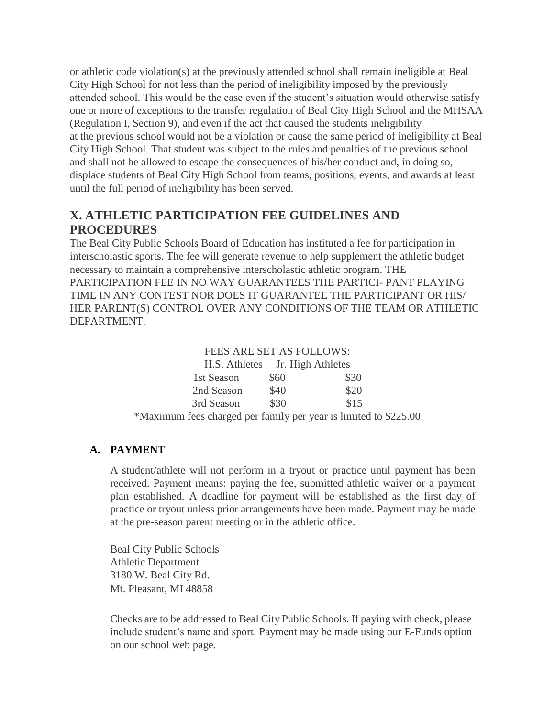or athletic code violation(s) at the previously attended school shall remain ineligible at Beal City High School for not less than the period of ineligibility imposed by the previously attended school. This would be the case even if the student's situation would otherwise satisfy one or more of exceptions to the transfer regulation of Beal City High School and the MHSAA (Regulation I, Section 9), and even if the act that caused the students ineligibility at the previous school would not be a violation or cause the same period of ineligibility at Beal City High School. That student was subject to the rules and penalties of the previous school and shall not be allowed to escape the consequences of his/her conduct and, in doing so, displace students of Beal City High School from teams, positions, events, and awards at least until the full period of ineligibility has been served.

# **X. ATHLETIC PARTICIPATION FEE GUIDELINES AND PROCEDURES**

The Beal City Public Schools Board of Education has instituted a fee for participation in interscholastic sports. The fee will generate revenue to help supplement the athletic budget necessary to maintain a comprehensive interscholastic athletic program. THE PARTICIPATION FEE IN NO WAY GUARANTEES THE PARTICI- PANT PLAYING TIME IN ANY CONTEST NOR DOES IT GUARANTEE THE PARTICIPANT OR HIS/ HER PARENT(S) CONTROL OVER ANY CONDITIONS OF THE TEAM OR ATHLETIC DEPARTMENT.

#### FEES ARE SET AS FOLLOWS:

| H.S. Athletes Jr. High Athletes                                  |      |      |
|------------------------------------------------------------------|------|------|
| 1st Season                                                       | \$60 | \$30 |
| 2nd Season                                                       | \$40 | \$20 |
| 3rd Season                                                       | \$30 | \$15 |
| *Maximum fees charged per family per year is limited to \$225.00 |      |      |

## **A. PAYMENT**

A student/athlete will not perform in a tryout or practice until payment has been received. Payment means: paying the fee, submitted athletic waiver or a payment plan established. A deadline for payment will be established as the first day of practice or tryout unless prior arrangements have been made. Payment may be made at the pre-season parent meeting or in the athletic office.

Beal City Public Schools Athletic Department 3180 W. Beal City Rd. Mt. Pleasant, MI 48858

Checks are to be addressed to Beal City Public Schools. If paying with check, please include student's name and sport. Payment may be made using our E-Funds option on our school web page.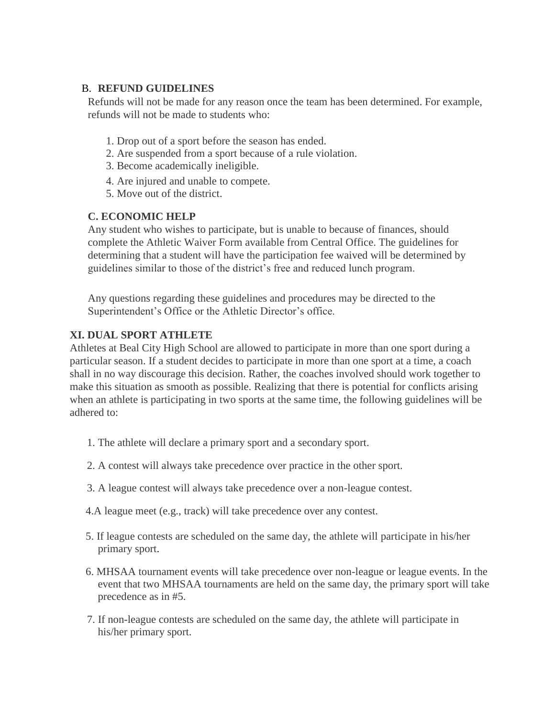#### B. **REFUND GUIDELINES**

Refunds will not be made for any reason once the team has been determined. For example, refunds will not be made to students who:

- 1. Drop out of a sport before the season has ended.
- 2. Are suspended from a sport because of a rule violation.
- 3. Become academically ineligible.
- 4. Are injured and unable to compete.
- 5. Move out of the district.

## **C. ECONOMIC HELP**

Any student who wishes to participate, but is unable to because of finances, should complete the Athletic Waiver Form available from Central Office. The guidelines for determining that a student will have the participation fee waived will be determined by guidelines similar to those of the district's free and reduced lunch program.

Any questions regarding these guidelines and procedures may be directed to the Superintendent's Office or the Athletic Director's office.

## **XI. DUAL SPORT ATHLETE**

Athletes at Beal City High School are allowed to participate in more than one sport during a particular season. If a student decides to participate in more than one sport at a time, a coach shall in no way discourage this decision. Rather, the coaches involved should work together to make this situation as smooth as possible. Realizing that there is potential for conflicts arising when an athlete is participating in two sports at the same time, the following guidelines will be adhered to:

- 1. The athlete will declare a primary sport and a secondary sport.
- 2. A contest will always take precedence over practice in the other sport.
- 3. A league contest will always take precedence over a non-league contest.
- 4.A league meet (e.g., track) will take precedence over any contest.
- 5. If league contests are scheduled on the same day, the athlete will participate in his/her primary sport.
- 6. MHSAA tournament events will take precedence over non-league or league events. In the event that two MHSAA tournaments are held on the same day, the primary sport will take precedence as in #5.
- 7. If non-league contests are scheduled on the same day, the athlete will participate in his/her primary sport.